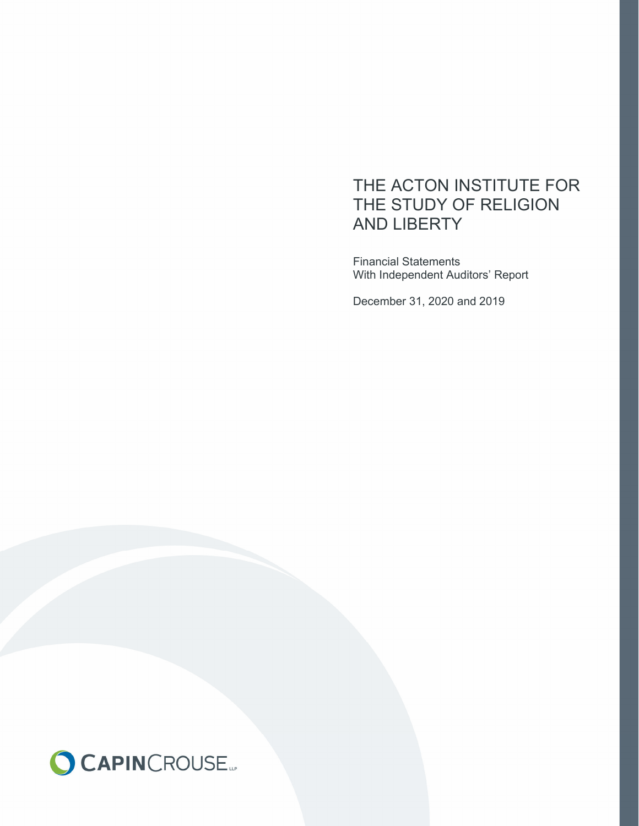Financial Statements With Independent Auditors' Report

December 31, 2020 and 2019

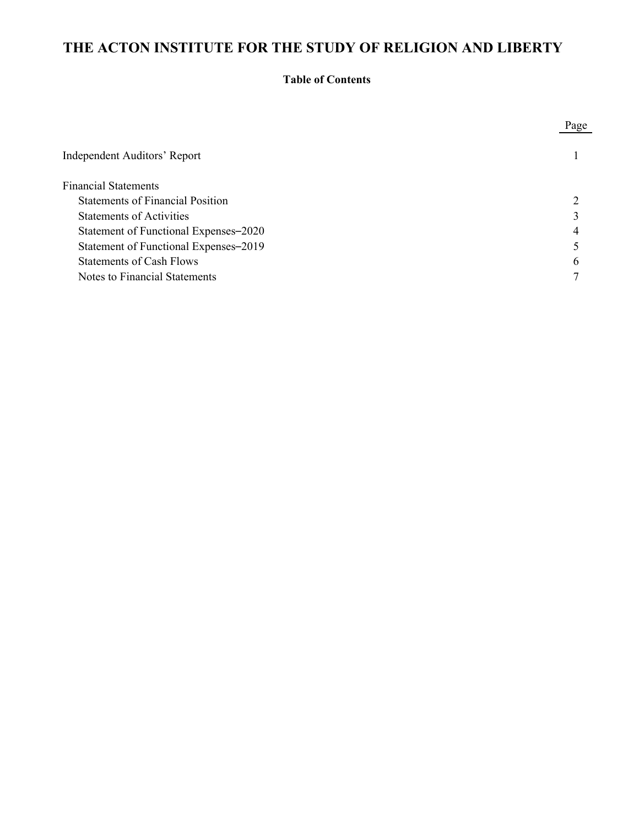### **Table of Contents**

|                                         | Page |
|-----------------------------------------|------|
| Independent Auditors' Report            |      |
| <b>Financial Statements</b>             |      |
| <b>Statements of Financial Position</b> |      |
| <b>Statements of Activities</b>         |      |
| Statement of Functional Expenses-2020   | 4    |
| Statement of Functional Expenses-2019   |      |
| <b>Statements of Cash Flows</b>         | b    |
| Notes to Financial Statements           |      |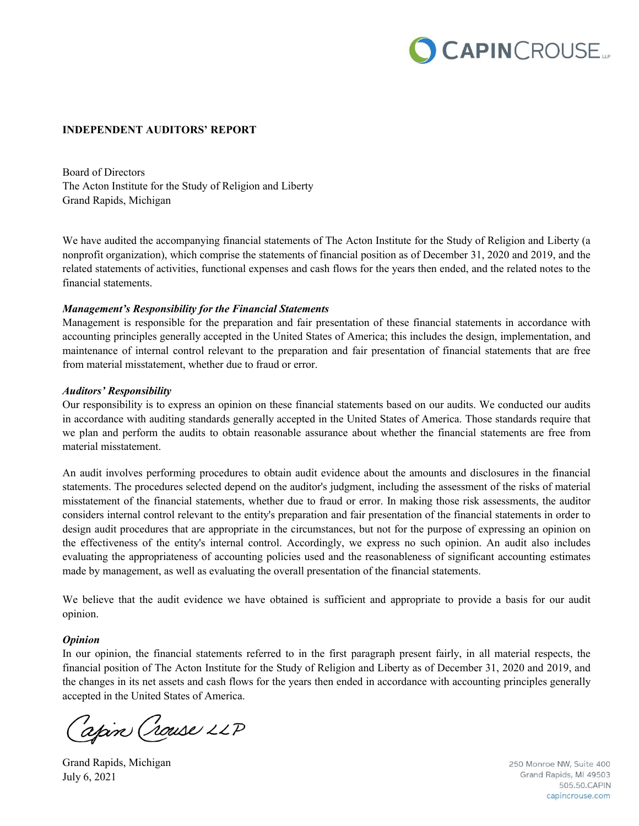

#### **INDEPENDENT AUDITORS' REPORT**

Board of Directors The Acton Institute for the Study of Religion and Liberty Grand Rapids, Michigan

We have audited the accompanying financial statements of The Acton Institute for the Study of Religion and Liberty (a nonprofit organization), which comprise the statements of financial position as of December 31, 2020 and 2019, and the related statements of activities, functional expenses and cash flows for the years then ended, and the related notes to the financial statements.

#### *Management's Responsibility for the Financial Statements*

Management is responsible for the preparation and fair presentation of these financial statements in accordance with accounting principles generally accepted in the United States of America; this includes the design, implementation, and maintenance of internal control relevant to the preparation and fair presentation of financial statements that are free from material misstatement, whether due to fraud or error.

#### *Auditors' Responsibility*

Our responsibility is to express an opinion on these financial statements based on our audits. We conducted our audits in accordance with auditing standards generally accepted in the United States of America. Those standards require that we plan and perform the audits to obtain reasonable assurance about whether the financial statements are free from material misstatement.

An audit involves performing procedures to obtain audit evidence about the amounts and disclosures in the financial statements. The procedures selected depend on the auditor's judgment, including the assessment of the risks of material misstatement of the financial statements, whether due to fraud or error. In making those risk assessments, the auditor considers internal control relevant to the entity's preparation and fair presentation of the financial statements in order to design audit procedures that are appropriate in the circumstances, but not for the purpose of expressing an opinion on the effectiveness of the entity's internal control. Accordingly, we express no such opinion. An audit also includes evaluating the appropriateness of accounting policies used and the reasonableness of significant accounting estimates made by management, as well as evaluating the overall presentation of the financial statements.

We believe that the audit evidence we have obtained is sufficient and appropriate to provide a basis for our audit opinion.

#### *Opinion*

In our opinion, the financial statements referred to in the first paragraph present fairly, in all material respects, the financial position of The Acton Institute for the Study of Religion and Liberty as of December 31, 2020 and 2019, and the changes in its net assets and cash flows for the years then ended in accordance with accounting principles generally accepted in the United States of America.

Capin Crouse 22P

Grand Rapids, Michigan July 6, 2021

250 Monroe NW, Suite 400 Grand Rapids, MI 49503 505.50.CAPIN capincrouse.com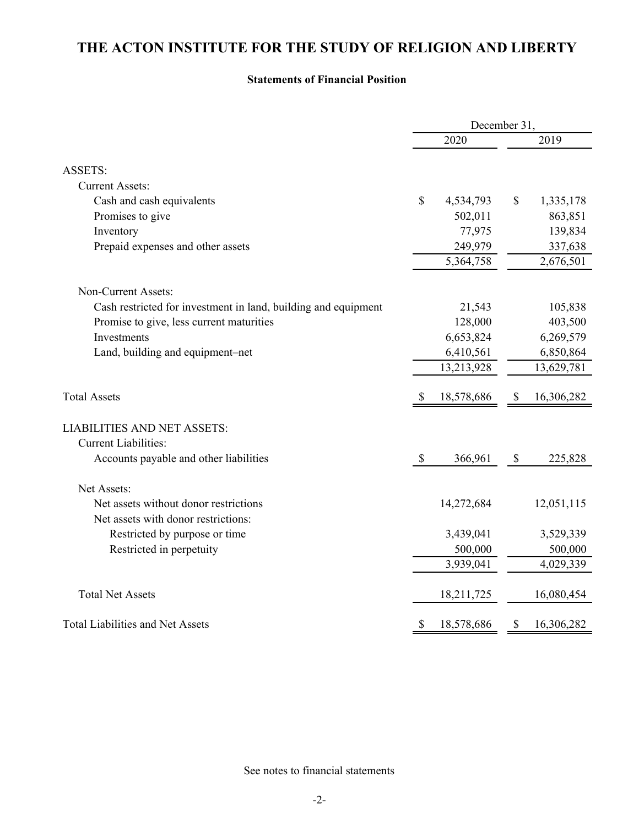#### **Statements of Financial Position**

|                                                                | December 31, |            |                           |            |
|----------------------------------------------------------------|--------------|------------|---------------------------|------------|
|                                                                |              | 2020       |                           | 2019       |
| <b>ASSETS:</b>                                                 |              |            |                           |            |
| <b>Current Assets:</b>                                         |              |            |                           |            |
| Cash and cash equivalents                                      | \$           | 4,534,793  | \$                        | 1,335,178  |
| Promises to give                                               |              | 502,011    |                           | 863,851    |
| Inventory                                                      |              | 77,975     |                           | 139,834    |
| Prepaid expenses and other assets                              |              | 249,979    |                           | 337,638    |
|                                                                |              | 5,364,758  |                           | 2,676,501  |
| Non-Current Assets:                                            |              |            |                           |            |
| Cash restricted for investment in land, building and equipment |              | 21,543     |                           | 105,838    |
| Promise to give, less current maturities                       |              | 128,000    |                           | 403,500    |
| Investments                                                    |              | 6,653,824  |                           | 6,269,579  |
| Land, building and equipment-net                               |              | 6,410,561  |                           | 6,850,864  |
|                                                                |              | 13,213,928 |                           | 13,629,781 |
| <b>Total Assets</b>                                            |              | 18,578,686 | S                         | 16,306,282 |
| <b>LIABILITIES AND NET ASSETS:</b>                             |              |            |                           |            |
| <b>Current Liabilities:</b>                                    |              |            |                           |            |
| Accounts payable and other liabilities                         | \$           | 366,961    | $\boldsymbol{\mathsf{S}}$ | 225,828    |
| Net Assets:                                                    |              |            |                           |            |
| Net assets without donor restrictions                          |              | 14,272,684 |                           | 12,051,115 |
| Net assets with donor restrictions:                            |              |            |                           |            |
| Restricted by purpose or time                                  |              | 3,439,041  |                           | 3,529,339  |
| Restricted in perpetuity                                       |              | 500,000    |                           | 500,000    |
|                                                                |              | 3,939,041  |                           | 4,029,339  |
| <b>Total Net Assets</b>                                        |              | 18,211,725 |                           | 16,080,454 |
| <b>Total Liabilities and Net Assets</b>                        | \$           | 18,578,686 | \$                        | 16,306,282 |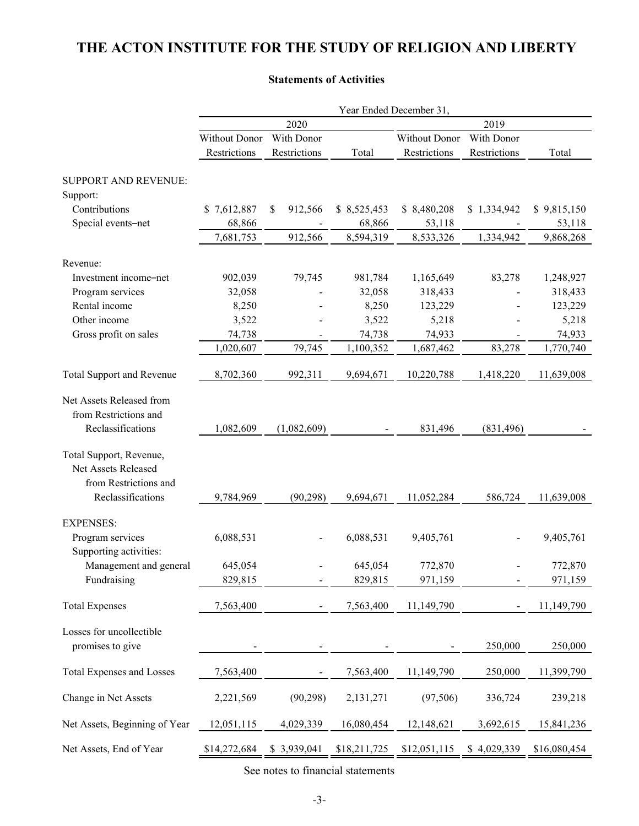### **Statements of Activities**

|                                  |               |              |              | Year Ended December 31, |              |              |
|----------------------------------|---------------|--------------|--------------|-------------------------|--------------|--------------|
|                                  |               | 2020         |              |                         | 2019         |              |
|                                  | Without Donor | With Donor   |              | <b>Without Donor</b>    | With Donor   |              |
|                                  | Restrictions  | Restrictions | Total        | Restrictions            | Restrictions | Total        |
| <b>SUPPORT AND REVENUE:</b>      |               |              |              |                         |              |              |
| Support:                         |               |              |              |                         |              |              |
| Contributions                    | \$7,612,887   | 912,566<br>S | \$8,525,453  | \$ 8,480,208            | \$1,334,942  | \$9,815,150  |
| Special events-net               | 68,866        |              | 68,866       | 53,118                  |              | 53,118       |
|                                  | 7,681,753     | 912,566      | 8,594,319    | 8,533,326               | 1,334,942    | 9,868,268    |
|                                  |               |              |              |                         |              |              |
| Revenue:                         |               |              |              |                         |              |              |
| Investment income-net            | 902,039       | 79,745       | 981,784      | 1,165,649               | 83,278       | 1,248,927    |
| Program services                 | 32,058        |              | 32,058       | 318,433                 |              | 318,433      |
| Rental income                    | 8,250         |              | 8,250        | 123,229                 |              | 123,229      |
| Other income                     | 3,522         |              | 3,522        | 5,218                   |              | 5,218        |
| Gross profit on sales            | 74,738        |              | 74,738       | 74,933                  |              | 74,933       |
|                                  | 1,020,607     | 79,745       | 1,100,352    | 1,687,462               | 83,278       | 1,770,740    |
| <b>Total Support and Revenue</b> | 8,702,360     | 992,311      | 9,694,671    | 10,220,788              | 1,418,220    | 11,639,008   |
| Net Assets Released from         |               |              |              |                         |              |              |
| from Restrictions and            |               |              |              |                         |              |              |
| Reclassifications                | 1,082,609     | (1,082,609)  |              | 831,496                 | (831, 496)   |              |
|                                  |               |              |              |                         |              |              |
| Total Support, Revenue,          |               |              |              |                         |              |              |
| Net Assets Released              |               |              |              |                         |              |              |
| from Restrictions and            |               |              |              |                         |              |              |
| Reclassifications                | 9,784,969     | (90, 298)    | 9,694,671    | 11,052,284              | 586,724      | 11,639,008   |
| <b>EXPENSES:</b>                 |               |              |              |                         |              |              |
| Program services                 | 6,088,531     |              | 6,088,531    | 9,405,761               |              | 9,405,761    |
| Supporting activities:           |               |              |              |                         |              |              |
| Management and general           | 645,054       |              | 645,054      | 772,870                 |              | 772,870      |
| Fundraising                      | 829,815       |              | 829,815      | 971,159                 |              | 971,159      |
|                                  |               |              |              |                         |              |              |
| <b>Total Expenses</b>            | 7,563,400     |              | 7,563,400    | 11,149,790              |              | 11,149,790   |
| Losses for uncollectible         |               |              |              |                         |              |              |
| promises to give                 |               |              |              |                         | 250,000      | 250,000      |
|                                  |               |              |              |                         |              |              |
| <b>Total Expenses and Losses</b> | 7,563,400     |              | 7,563,400    | 11,149,790              | 250,000      | 11,399,790   |
| Change in Net Assets             | 2,221,569     | (90, 298)    | 2,131,271    | (97, 506)               | 336,724      | 239,218      |
| Net Assets, Beginning of Year    | 12,051,115    | 4,029,339    | 16,080,454   | 12,148,621              | 3,692,615    | 15,841,236   |
|                                  |               |              |              |                         |              |              |
| Net Assets, End of Year          | \$14,272,684  | \$3,939,041  | \$18,211,725 | \$12,051,115            | \$4,029,339  | \$16,080,454 |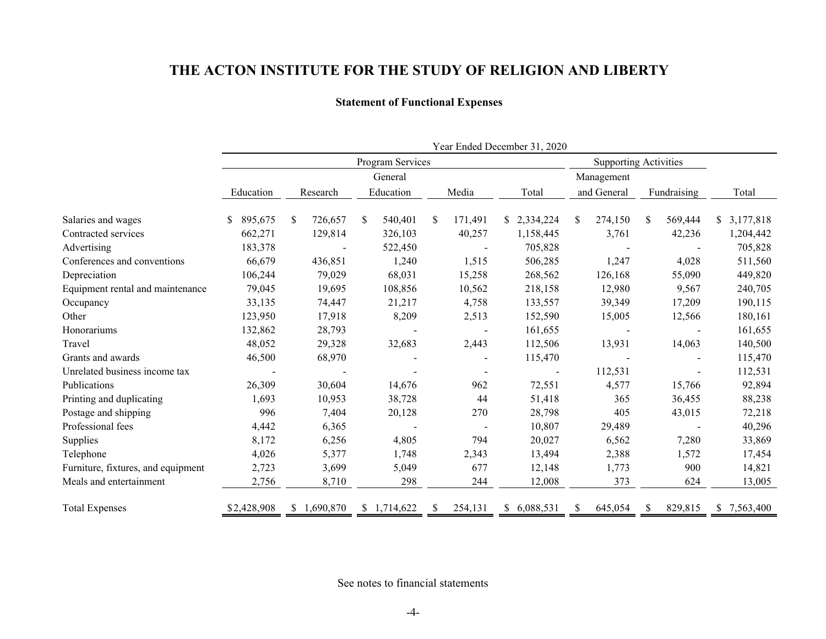### **Statement of Functional Expenses**

|                                    |                  |                 |               |                          | Year Ended December 31, 2020 |                              |               |             |
|------------------------------------|------------------|-----------------|---------------|--------------------------|------------------------------|------------------------------|---------------|-------------|
|                                    | Program Services |                 |               |                          |                              | <b>Supporting Activities</b> |               |             |
|                                    |                  |                 | General       |                          |                              | Management                   |               |             |
|                                    | Education        | Research        | Education     | Media                    | Total                        | and General                  | Fundraising   | Total       |
| Salaries and wages                 | 895,675          | 726,657<br>\$   | \$<br>540,401 | <sup>\$</sup><br>171,491 | \$2,334,224                  | 274,150<br>\$.               | \$<br>569,444 | \$3,177,818 |
| Contracted services                | 662,271          | 129,814         | 326,103       | 40,257                   | 1,158,445                    | 3,761                        | 42,236        | 1,204,442   |
| Advertising                        | 183,378          |                 | 522,450       |                          | 705,828                      |                              |               | 705,828     |
| Conferences and conventions        | 66,679           | 436,851         | 1,240         | 1,515                    | 506,285                      | 1,247                        | 4,028         | 511,560     |
| Depreciation                       | 106,244          | 79,029          | 68,031        | 15,258                   | 268,562                      | 126,168                      | 55,090        | 449,820     |
| Equipment rental and maintenance   | 79,045           | 19,695          | 108,856       | 10,562                   | 218,158                      | 12,980                       | 9,567         | 240,705     |
| Occupancy                          | 33,135           | 74,447          | 21,217        | 4,758                    | 133,557                      | 39,349                       | 17,209        | 190,115     |
| Other                              | 123,950          | 17,918          | 8,209         | 2,513                    | 152,590                      | 15,005                       | 12,566        | 180,161     |
| Honorariums                        | 132,862          | 28,793          |               |                          | 161,655                      |                              |               | 161,655     |
| Travel                             | 48,052           | 29,328          | 32,683        | 2,443                    | 112,506                      | 13,931                       | 14,063        | 140,500     |
| Grants and awards                  | 46,500           | 68,970          |               |                          | 115,470                      |                              |               | 115,470     |
| Unrelated business income tax      |                  |                 |               |                          |                              | 112,531                      |               | 112,531     |
| Publications                       | 26,309           | 30,604          | 14,676        | 962                      | 72,551                       | 4,577                        | 15,766        | 92,894      |
| Printing and duplicating           | 1,693            | 10,953          | 38,728        | 44                       | 51,418                       | 365                          | 36,455        | 88,238      |
| Postage and shipping               | 996              | 7,404           | 20,128        | 270                      | 28,798                       | 405                          | 43,015        | 72,218      |
| Professional fees                  | 4,442            | 6,365           |               |                          | 10,807                       | 29,489                       |               | 40,296      |
| Supplies                           | 8,172            | 6,256           | 4,805         | 794                      | 20,027                       | 6,562                        | 7,280         | 33,869      |
| Telephone                          | 4,026            | 5,377           | 1,748         | 2,343                    | 13,494                       | 2,388                        | 1,572         | 17,454      |
| Furniture, fixtures, and equipment | 2,723            | 3,699           | 5,049         | 677                      | 12,148                       | 1,773                        | 900           | 14,821      |
| Meals and entertainment            | 2,756            | 8,710           | 298           | 244                      | 12,008                       | 373                          | 624           | 13,005      |
| <b>Total Expenses</b>              | \$2,428,908      | 1,690,870<br>S. | \$1,714,622   | 254,131                  | \$6,088,531                  | 645,054<br>S                 | 829,815<br>S  | \$7,563,400 |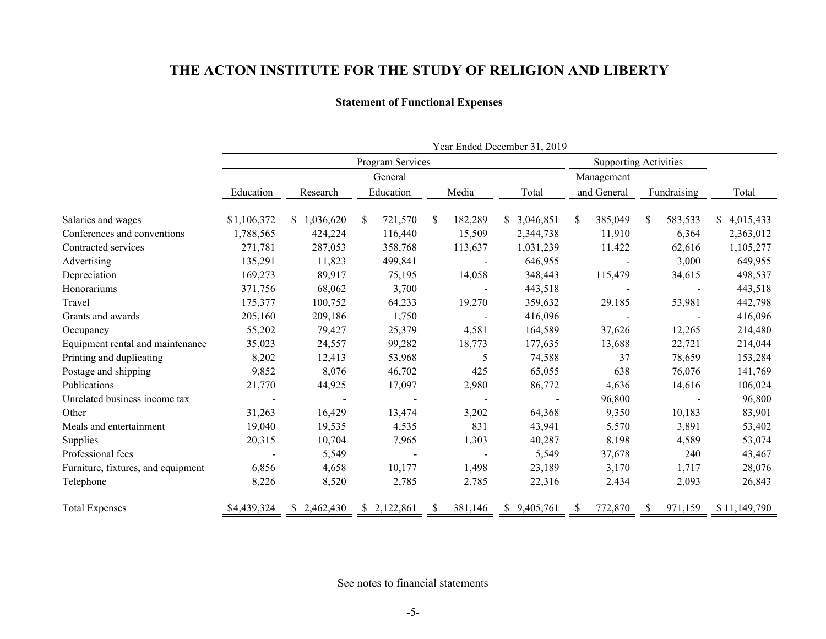### **Statement of Functional Expenses**

|                                    |                  |             |                 |                          | Year Ended December 31, 2019 |                              |               |              |
|------------------------------------|------------------|-------------|-----------------|--------------------------|------------------------------|------------------------------|---------------|--------------|
|                                    | Program Services |             |                 |                          |                              | <b>Supporting Activities</b> |               |              |
|                                    |                  |             | General         |                          |                              | Management                   |               |              |
|                                    | Education        | Research    | Education       | Media                    | Total                        | and General                  | Fundraising   | Total        |
| Salaries and wages                 | \$1,106,372      | \$1,036,620 | \$<br>721,570   | 182,289<br><sup>\$</sup> | \$3,046,851                  | 385,049<br>\$                | 583,533<br>\$ | \$4,015,433  |
| Conferences and conventions        | 1,788,565        | 424,224     | 116,440         | 15,509                   | 2,344,738                    | 11,910                       | 6,364         | 2,363,012    |
| Contracted services                | 271,781          | 287,053     | 358,768         | 113,637                  | 1,031,239                    | 11,422                       | 62,616        | 1,105,277    |
| Advertising                        | 135,291          | 11,823      | 499,841         |                          | 646,955                      |                              | 3,000         | 649,955      |
| Depreciation                       | 169,273          | 89,917      | 75,195          | 14,058                   | 348,443                      | 115,479                      | 34,615        | 498,537      |
| Honorariums                        | 371,756          | 68,062      | 3,700           |                          | 443,518                      |                              |               | 443,518      |
| Travel                             | 175,377          | 100,752     | 64,233          | 19,270                   | 359,632                      | 29,185                       | 53,981        | 442,798      |
| Grants and awards                  | 205,160          | 209,186     | 1,750           |                          | 416,096                      |                              |               | 416,096      |
| Occupancy                          | 55,202           | 79,427      | 25,379          | 4,581                    | 164,589                      | 37,626                       | 12,265        | 214,480      |
| Equipment rental and maintenance   | 35,023           | 24,557      | 99,282          | 18,773                   | 177,635                      | 13,688                       | 22,721        | 214,044      |
| Printing and duplicating           | 8,202            | 12,413      | 53,968          | 5                        | 74,588                       | 37                           | 78,659        | 153,284      |
| Postage and shipping               | 9,852            | 8,076       | 46,702          | 425                      | 65,055                       | 638                          | 76,076        | 141,769      |
| Publications                       | 21,770           | 44,925      | 17,097          | 2,980                    | 86,772                       | 4,636                        | 14,616        | 106,024      |
| Unrelated business income tax      |                  |             |                 |                          |                              | 96,800                       |               | 96,800       |
| Other                              | 31,263           | 16,429      | 13,474          | 3,202                    | 64,368                       | 9,350                        | 10,183        | 83,901       |
| Meals and entertainment            | 19,040           | 19,535      | 4,535           | 831                      | 43,941                       | 5,570                        | 3,891         | 53,402       |
| Supplies                           | 20,315           | 10,704      | 7,965           | 1,303                    | 40,287                       | 8,198                        | 4,589         | 53,074       |
| Professional fees                  |                  | 5,549       |                 |                          | 5,549                        | 37,678                       | 240           | 43,467       |
| Furniture, fixtures, and equipment | 6,856            | 4,658       | 10,177          | 1,498                    | 23,189                       | 3,170                        | 1,717         | 28,076       |
| Telephone                          | 8,226            | 8,520       | 2,785           | 2,785                    | 22,316                       | 2,434                        | 2,093         | 26,843       |
| <b>Total Expenses</b>              | \$4,439,324      | 2,462,430   | 2,122,861<br>S. | 381,146                  | \$9,405,761                  | 772,870                      | 971,159       | \$11,149,790 |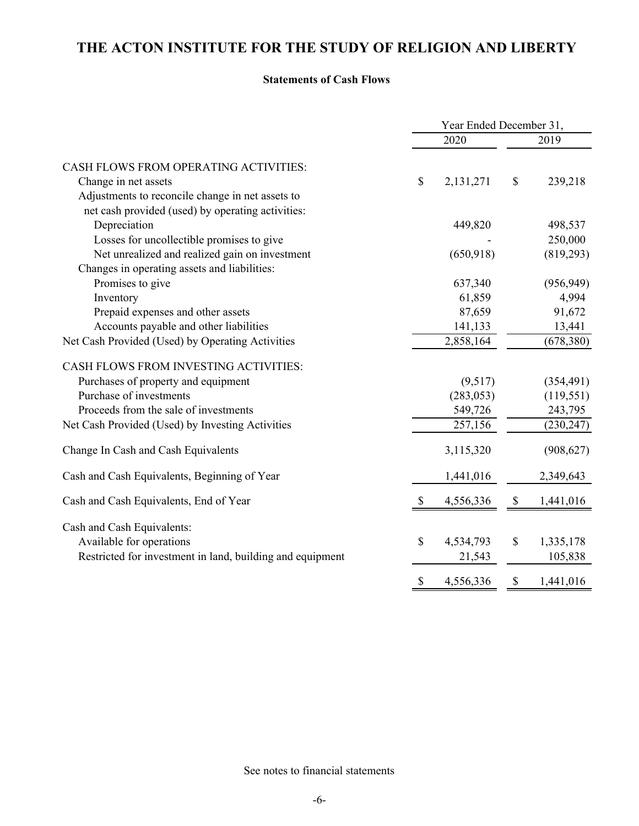#### **Statements of Cash Flows**

|                                                           | Year Ended December 31, |              |            |  |  |
|-----------------------------------------------------------|-------------------------|--------------|------------|--|--|
|                                                           | 2020                    |              | 2019       |  |  |
| CASH FLOWS FROM OPERATING ACTIVITIES:                     |                         |              |            |  |  |
| Change in net assets                                      | \$<br>2,131,271         | $\mathbb{S}$ | 239,218    |  |  |
| Adjustments to reconcile change in net assets to          |                         |              |            |  |  |
| net cash provided (used) by operating activities:         |                         |              |            |  |  |
| Depreciation                                              | 449,820                 |              | 498,537    |  |  |
| Losses for uncollectible promises to give                 |                         |              | 250,000    |  |  |
| Net unrealized and realized gain on investment            | (650, 918)              |              | (819,293)  |  |  |
| Changes in operating assets and liabilities:              |                         |              |            |  |  |
| Promises to give                                          | 637,340                 |              | (956, 949) |  |  |
| Inventory                                                 | 61,859                  |              | 4,994      |  |  |
| Prepaid expenses and other assets                         | 87,659                  |              | 91,672     |  |  |
| Accounts payable and other liabilities                    | 141,133                 |              | 13,441     |  |  |
| Net Cash Provided (Used) by Operating Activities          | 2,858,164               |              | (678, 380) |  |  |
| CASH FLOWS FROM INVESTING ACTIVITIES:                     |                         |              |            |  |  |
| Purchases of property and equipment                       | (9,517)                 |              | (354, 491) |  |  |
| Purchase of investments                                   | (283, 053)              |              | (119, 551) |  |  |
| Proceeds from the sale of investments                     | 549,726                 |              | 243,795    |  |  |
| Net Cash Provided (Used) by Investing Activities          | 257,156                 |              | (230, 247) |  |  |
| Change In Cash and Cash Equivalents                       | 3,115,320               |              | (908, 627) |  |  |
| Cash and Cash Equivalents, Beginning of Year              | 1,441,016               |              | 2,349,643  |  |  |
| Cash and Cash Equivalents, End of Year                    | 4,556,336               | \$           | 1,441,016  |  |  |
| Cash and Cash Equivalents:                                |                         |              |            |  |  |
| Available for operations                                  | \$<br>4,534,793         | \$           | 1,335,178  |  |  |
| Restricted for investment in land, building and equipment | 21,543                  |              | 105,838    |  |  |
|                                                           | \$<br>4,556,336         | \$           | 1,441,016  |  |  |
|                                                           |                         |              |            |  |  |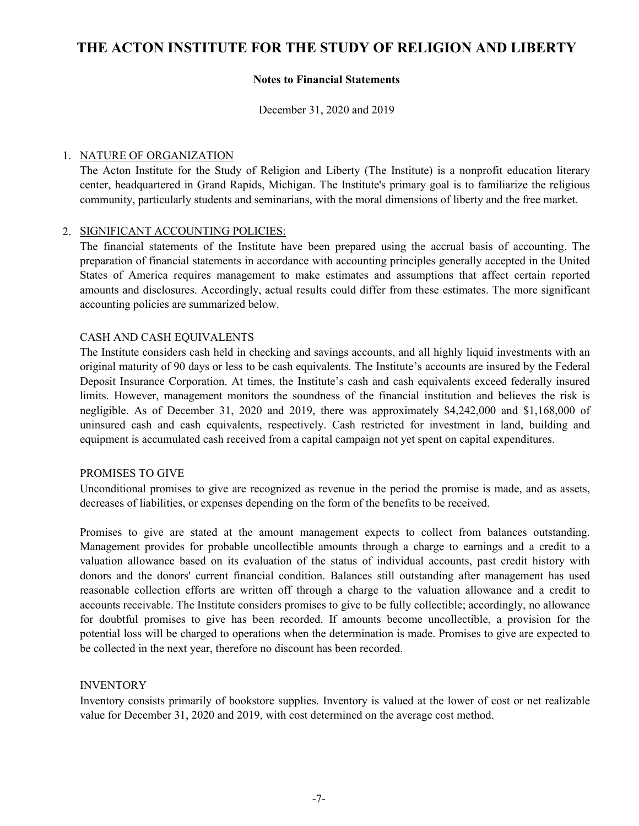#### **Notes to Financial Statements**

December 31, 2020 and 2019

#### 1. NATURE OF ORGANIZATION

The Acton Institute for the Study of Religion and Liberty (The Institute) is a nonprofit education literary center, headquartered in Grand Rapids, Michigan. The Institute's primary goal is to familiarize the religious community, particularly students and seminarians, with the moral dimensions of liberty and the free market.

#### 2. SIGNIFICANT ACCOUNTING POLICIES:

The financial statements of the Institute have been prepared using the accrual basis of accounting. The preparation of financial statements in accordance with accounting principles generally accepted in the United States of America requires management to make estimates and assumptions that affect certain reported amounts and disclosures. Accordingly, actual results could differ from these estimates. The more significant accounting policies are summarized below.

#### CASH AND CASH EQUIVALENTS

The Institute considers cash held in checking and savings accounts, and all highly liquid investments with an original maturity of 90 days or less to be cash equivalents. The Institute's accounts are insured by the Federal Deposit Insurance Corporation. At times, the Institute's cash and cash equivalents exceed federally insured limits. However, management monitors the soundness of the financial institution and believes the risk is negligible. As of December 31, 2020 and 2019, there was approximately \$4,242,000 and \$1,168,000 of uninsured cash and cash equivalents, respectively. Cash restricted for investment in land, building and equipment is accumulated cash received from a capital campaign not yet spent on capital expenditures.

#### PROMISES TO GIVE

Unconditional promises to give are recognized as revenue in the period the promise is made, and as assets, decreases of liabilities, or expenses depending on the form of the benefits to be received.

Promises to give are stated at the amount management expects to collect from balances outstanding. Management provides for probable uncollectible amounts through a charge to earnings and a credit to a valuation allowance based on its evaluation of the status of individual accounts, past credit history with donors and the donors' current financial condition. Balances still outstanding after management has used reasonable collection efforts are written off through a charge to the valuation allowance and a credit to accounts receivable. The Institute considers promises to give to be fully collectible; accordingly, no allowance for doubtful promises to give has been recorded. If amounts become uncollectible, a provision for the potential loss will be charged to operations when the determination is made. Promises to give are expected to be collected in the next year, therefore no discount has been recorded.

#### INVENTORY

Inventory consists primarily of bookstore supplies. Inventory is valued at the lower of cost or net realizable value for December 31, 2020 and 2019, with cost determined on the average cost method.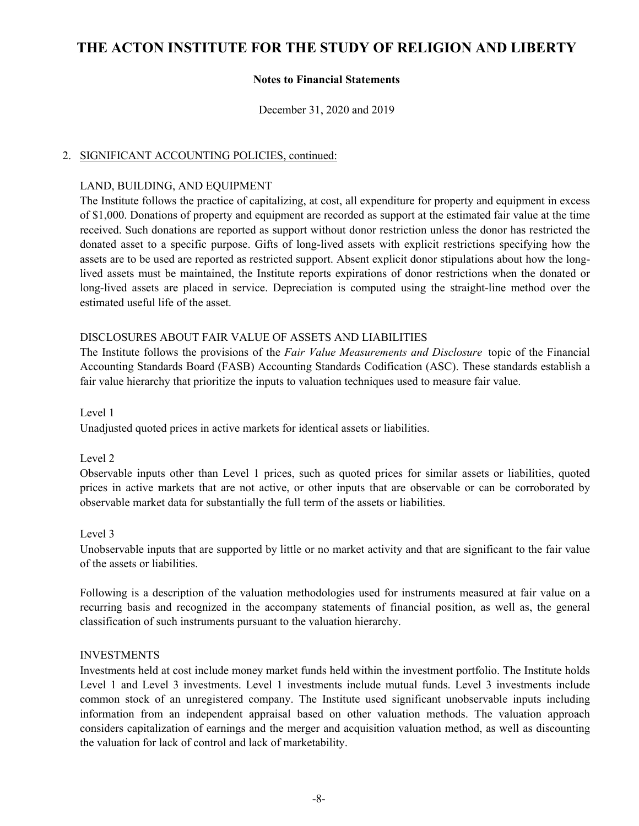#### **Notes to Financial Statements**

December 31, 2020 and 2019

#### 2. SIGNIFICANT ACCOUNTING POLICIES, continued:

#### LAND, BUILDING, AND EQUIPMENT

The Institute follows the practice of capitalizing, at cost, all expenditure for property and equipment in excess of \$1,000. Donations of property and equipment are recorded as support at the estimated fair value at the time received. Such donations are reported as support without donor restriction unless the donor has restricted the donated asset to a specific purpose. Gifts of long-lived assets with explicit restrictions specifying how the assets are to be used are reported as restricted support. Absent explicit donor stipulations about how the longlived assets must be maintained, the Institute reports expirations of donor restrictions when the donated or long-lived assets are placed in service. Depreciation is computed using the straight-line method over the estimated useful life of the asset.

#### DISCLOSURES ABOUT FAIR VALUE OF ASSETS AND LIABILITIES

The Institute follows the provisions of the *Fair Value Measurements and Disclosure* topic of the Financial Accounting Standards Board (FASB) Accounting Standards Codification (ASC). These standards establish a fair value hierarchy that prioritize the inputs to valuation techniques used to measure fair value.

Level 1

Unadjusted quoted prices in active markets for identical assets or liabilities.

#### Level 2

Observable inputs other than Level 1 prices, such as quoted prices for similar assets or liabilities, quoted prices in active markets that are not active, or other inputs that are observable or can be corroborated by observable market data for substantially the full term of the assets or liabilities.

#### Level 3

Unobservable inputs that are supported by little or no market activity and that are significant to the fair value of the assets or liabilities.

Following is a description of the valuation methodologies used for instruments measured at fair value on a recurring basis and recognized in the accompany statements of financial position, as well as, the general classification of such instruments pursuant to the valuation hierarchy.

#### INVESTMENTS

Investments held at cost include money market funds held within the investment portfolio. The Institute holds Level 1 and Level 3 investments. Level 1 investments include mutual funds. Level 3 investments include common stock of an unregistered company. The Institute used significant unobservable inputs including information from an independent appraisal based on other valuation methods. The valuation approach considers capitalization of earnings and the merger and acquisition valuation method, as well as discounting the valuation for lack of control and lack of marketability.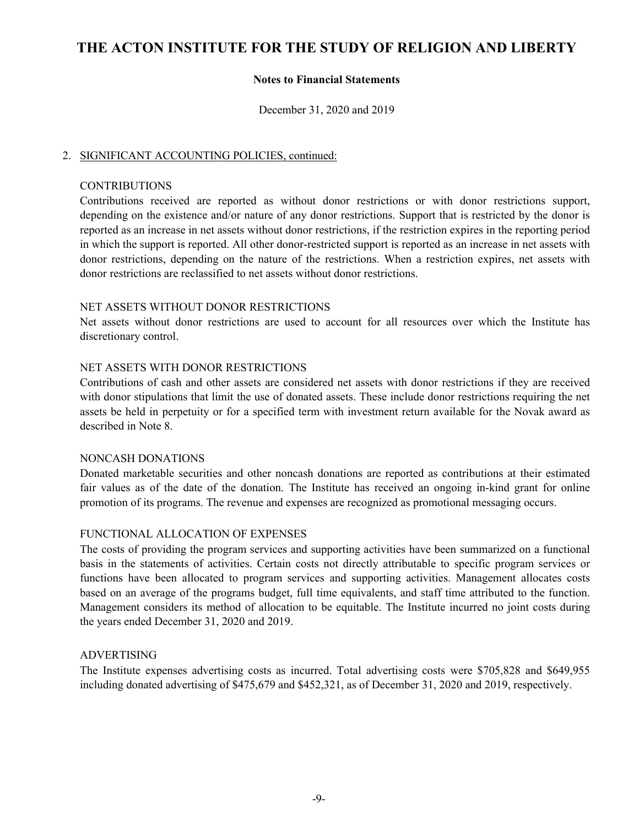#### **Notes to Financial Statements**

December 31, 2020 and 2019

#### 2. SIGNIFICANT ACCOUNTING POLICIES, continued:

#### CONTRIBUTIONS

Contributions received are reported as without donor restrictions or with donor restrictions support, depending on the existence and/or nature of any donor restrictions. Support that is restricted by the donor is reported as an increase in net assets without donor restrictions, if the restriction expires in the reporting period in which the support is reported. All other donor-restricted support is reported as an increase in net assets with donor restrictions, depending on the nature of the restrictions. When a restriction expires, net assets with donor restrictions are reclassified to net assets without donor restrictions.

#### NET ASSETS WITHOUT DONOR RESTRICTIONS

Net assets without donor restrictions are used to account for all resources over which the Institute has discretionary control.

#### NET ASSETS WITH DONOR RESTRICTIONS

Contributions of cash and other assets are considered net assets with donor restrictions if they are received with donor stipulations that limit the use of donated assets. These include donor restrictions requiring the net assets be held in perpetuity or for a specified term with investment return available for the Novak award as described in Note 8.

#### NONCASH DONATIONS

Donated marketable securities and other noncash donations are reported as contributions at their estimated fair values as of the date of the donation. The Institute has received an ongoing in-kind grant for online promotion of its programs. The revenue and expenses are recognized as promotional messaging occurs.

### FUNCTIONAL ALLOCATION OF EXPENSES

The costs of providing the program services and supporting activities have been summarized on a functional basis in the statements of activities. Certain costs not directly attributable to specific program services or functions have been allocated to program services and supporting activities. Management allocates costs based on an average of the programs budget, full time equivalents, and staff time attributed to the function. Management considers its method of allocation to be equitable. The Institute incurred no joint costs during the years ended December 31, 2020 and 2019.

#### ADVERTISING

The Institute expenses advertising costs as incurred. Total advertising costs were \$705,828 and \$649,955 including donated advertising of \$475,679 and \$452,321, as of December 31, 2020 and 2019, respectively.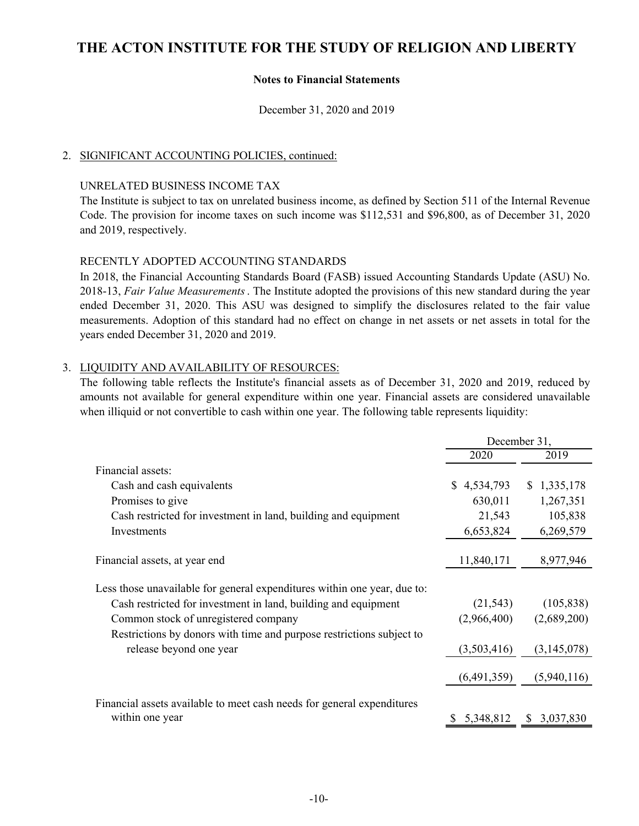#### **Notes to Financial Statements**

December 31, 2020 and 2019

#### 2. SIGNIFICANT ACCOUNTING POLICIES, continued:

#### UNRELATED BUSINESS INCOME TAX

The Institute is subject to tax on unrelated business income, as defined by Section 511 of the Internal Revenue Code. The provision for income taxes on such income was \$112,531 and \$96,800, as of December 31, 2020 and 2019, respectively.

### RECENTLY ADOPTED ACCOUNTING STANDARDS

In 2018, the Financial Accounting Standards Board (FASB) issued Accounting Standards Update (ASU) No. 2018-13, *Fair Value Measurements*. The Institute adopted the provisions of this new standard during the year ended December 31, 2020. This ASU was designed to simplify the disclosures related to the fair value measurements. Adoption of this standard had no effect on change in net assets or net assets in total for the years ended December 31, 2020 and 2019.

#### 3. LIQUIDITY AND AVAILABILITY OF RESOURCES:

The following table reflects the Institute's financial assets as of December 31, 2020 and 2019, reduced by amounts not available for general expenditure within one year. Financial assets are considered unavailable when illiquid or not convertible to cash within one year. The following table represents liquidity:

|                                                                                                              | December 31, |             |  |
|--------------------------------------------------------------------------------------------------------------|--------------|-------------|--|
|                                                                                                              | 2020         | 2019        |  |
| Financial assets:                                                                                            |              |             |  |
| Cash and cash equivalents                                                                                    | 4,534,793    | \$1,335,178 |  |
| Promises to give                                                                                             | 630,011      | 1,267,351   |  |
| Cash restricted for investment in land, building and equipment                                               | 21,543       | 105,838     |  |
| Investments                                                                                                  | 6,653,824    | 6,269,579   |  |
|                                                                                                              |              |             |  |
| Financial assets, at year end                                                                                | 11,840,171   | 8,977,946   |  |
| Less those unavailable for general expenditures within one year, due to:                                     |              |             |  |
| Cash restricted for investment in land, building and equipment                                               | (21, 543)    | (105, 838)  |  |
| Common stock of unregistered company<br>Restrictions by donors with time and purpose restrictions subject to | (2,966,400)  | (2,689,200) |  |
| release beyond one year                                                                                      | (3,503,416)  | (3,145,078) |  |
|                                                                                                              | (6,491,359)  | (5,940,116) |  |
| Financial assets available to meet cash needs for general expenditures                                       |              |             |  |
| within one year                                                                                              | 5,348,812    | \$3,037,830 |  |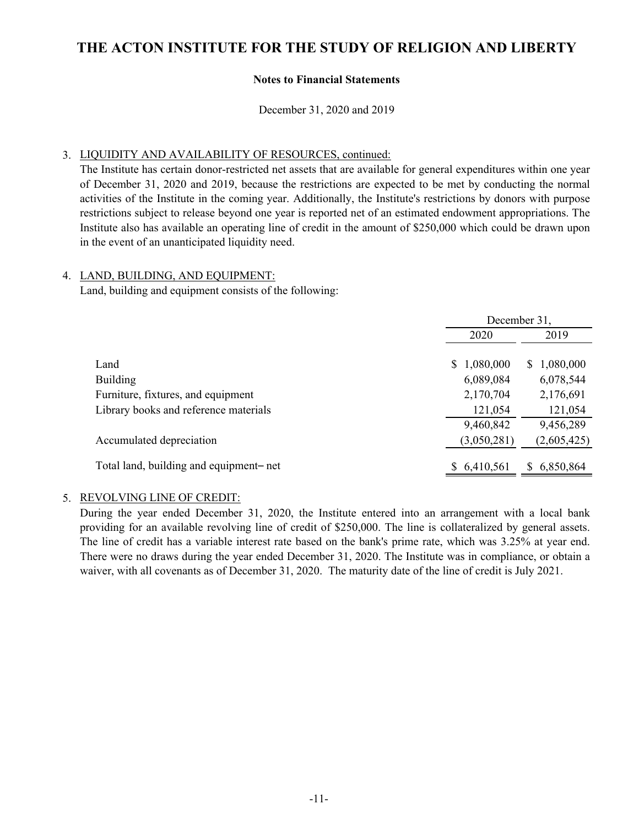#### **Notes to Financial Statements**

December 31, 2020 and 2019

### 3. LIQUIDITY AND AVAILABILITY OF RESOURCES, continued:

The Institute has certain donor-restricted net assets that are available for general expenditures within one year of December 31, 2020 and 2019, because the restrictions are expected to be met by conducting the normal activities of the Institute in the coming year. Additionally, the Institute's restrictions by donors with purpose restrictions subject to release beyond one year is reported net of an estimated endowment appropriations. The Institute also has available an operating line of credit in the amount of \$250,000 which could be drawn upon in the event of an unanticipated liquidity need.

#### 4. LAND, BUILDING, AND EQUIPMENT:

Land, building and equipment consists of the following:

|                                        | December 31,    |                  |  |  |
|----------------------------------------|-----------------|------------------|--|--|
|                                        | 2020            | 2019             |  |  |
|                                        |                 |                  |  |  |
| Land                                   | 1,080,000<br>S. | 1,080,000<br>S.  |  |  |
| <b>Building</b>                        | 6,089,084       | 6,078,544        |  |  |
| Furniture, fixtures, and equipment     | 2,170,704       | 2,176,691        |  |  |
| Library books and reference materials  | 121,054         | 121,054          |  |  |
|                                        | 9,460,842       | 9,456,289        |  |  |
| Accumulated depreciation               | (3,050,281)     | (2,605,425)      |  |  |
| Total land, building and equipment-net | \$6,410,561     | 6,850,864<br>\$. |  |  |

#### 5. REVOLVING LINE OF CREDIT:

During the year ended December 31, 2020, the Institute entered into an arrangement with a local bank providing for an available revolving line of credit of \$250,000. The line is collateralized by general assets. The line of credit has a variable interest rate based on the bank's prime rate, which was 3.25% at year end. There were no draws during the year ended December 31, 2020. The Institute was in compliance, or obtain a waiver, with all covenants as of December 31, 2020. The maturity date of the line of credit is July 2021.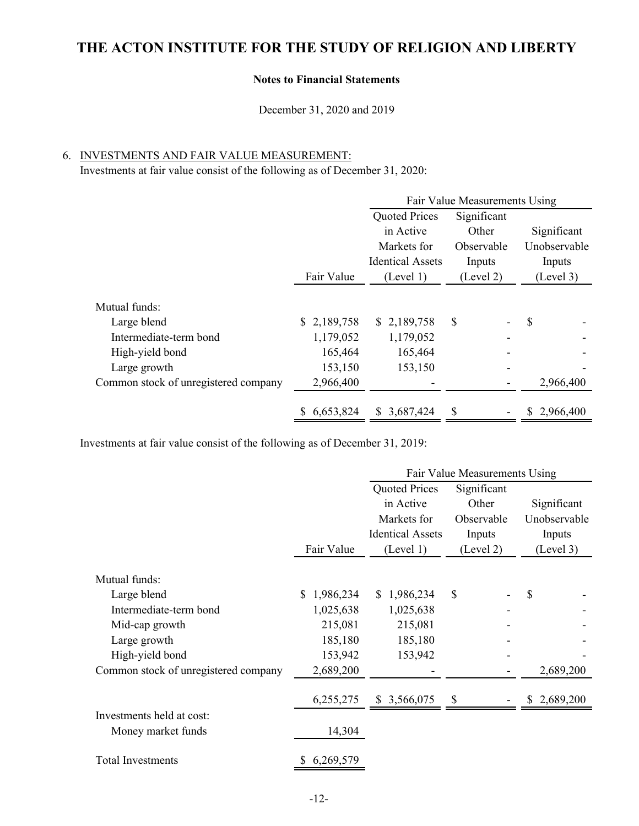#### **Notes to Financial Statements**

December 31, 2020 and 2019

#### 6. INVESTMENTS AND FAIR VALUE MEASUREMENT:

Investments at fair value consist of the following as of December 31, 2020:

|                                      |                 | Fair Value Measurements Using |             |              |  |
|--------------------------------------|-----------------|-------------------------------|-------------|--------------|--|
|                                      |                 | <b>Quoted Prices</b>          | Significant |              |  |
|                                      |                 | in Active                     | Other       | Significant  |  |
|                                      |                 | Markets for                   | Observable  | Unobservable |  |
|                                      |                 | <b>Identical Assets</b>       | Inputs      | Inputs       |  |
|                                      | Fair Value      | (Level 1)                     | (Level 2)   | (Level 3)    |  |
|                                      |                 |                               |             |              |  |
| Mutual funds:                        |                 |                               |             |              |  |
| Large blend                          | \$2,189,758     | \$2,189,758                   | \$          | \$           |  |
| Intermediate-term bond               | 1,179,052       | 1,179,052                     |             |              |  |
| High-yield bond                      | 165,464         | 165,464                       |             |              |  |
| Large growth                         | 153,150         | 153,150                       |             |              |  |
| Common stock of unregistered company | 2,966,400       |                               |             | 2,966,400    |  |
|                                      | 6,653,824<br>S. | 3,687,424<br>S.               | \$          | \$2,966,400  |  |

Investments at fair value consist of the following as of December 31, 2019:

|                                      |                 | Fair Value Measurements Using |             |                 |  |  |
|--------------------------------------|-----------------|-------------------------------|-------------|-----------------|--|--|
|                                      |                 | <b>Quoted Prices</b>          | Significant |                 |  |  |
|                                      |                 | in Active                     | Other       | Significant     |  |  |
|                                      |                 | Markets for                   | Observable  | Unobservable    |  |  |
|                                      |                 | <b>Identical Assets</b>       | Inputs      | Inputs          |  |  |
|                                      | Fair Value      | (Level 1)                     | (Level 2)   | (Level 3)       |  |  |
| Mutual funds:                        |                 |                               |             |                 |  |  |
| Large blend                          | 1,986,234<br>\$ | 1,986,234<br>\$               | \$          | \$              |  |  |
| Intermediate-term bond               | 1,025,638       | 1,025,638                     |             |                 |  |  |
| Mid-cap growth                       | 215,081         | 215,081                       |             |                 |  |  |
| Large growth                         | 185,180         | 185,180                       |             |                 |  |  |
| High-yield bond                      | 153,942         | 153,942                       |             |                 |  |  |
| Common stock of unregistered company | 2,689,200       |                               |             | 2,689,200       |  |  |
|                                      | 6,255,275       | 3,566,075<br>S.               | \$          | 2,689,200<br>\$ |  |  |
| Investments held at cost:            |                 |                               |             |                 |  |  |
| Money market funds                   | 14,304          |                               |             |                 |  |  |
| <b>Total Investments</b>             | 6,269,579       |                               |             |                 |  |  |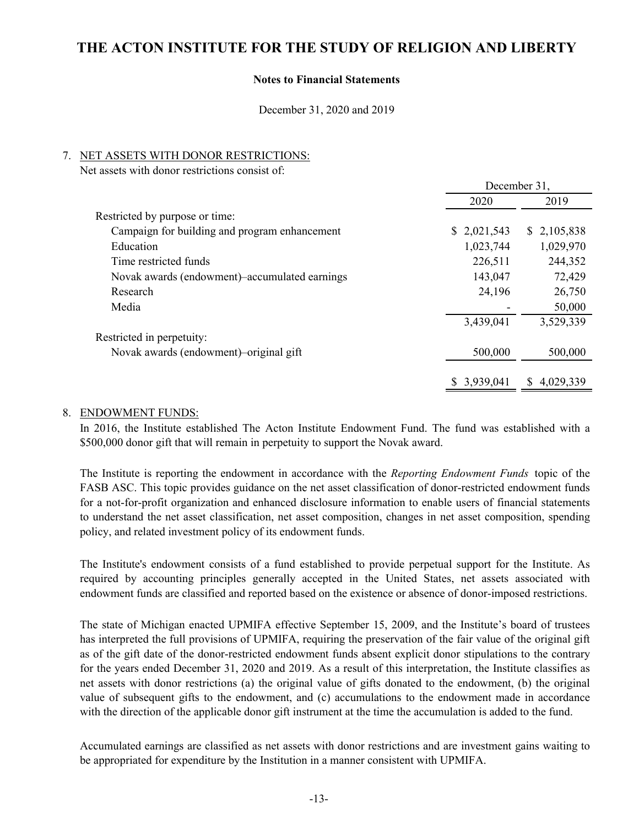#### **Notes to Financial Statements**

December 31, 2020 and 2019

#### 7. NET ASSETS WITH DONOR RESTRICTIONS:

Net assets with donor restrictions consist of:

|                                               | December 31, |             |  |
|-----------------------------------------------|--------------|-------------|--|
|                                               | 2020         | 2019        |  |
| Restricted by purpose or time:                |              |             |  |
| Campaign for building and program enhancement | \$2,021,543  | \$2,105,838 |  |
| Education                                     | 1,023,744    | 1,029,970   |  |
| Time restricted funds                         | 226,511      | 244,352     |  |
| Novak awards (endowment)–accumulated earnings | 143,047      | 72,429      |  |
| Research                                      | 24,196       | 26,750      |  |
| Media                                         |              | 50,000      |  |
|                                               | 3,439,041    | 3,529,339   |  |
| Restricted in perpetuity:                     |              |             |  |
| Novak awards (endowment)–original gift        | 500,000      | 500,000     |  |
|                                               |              |             |  |
|                                               | \$3,939,041  | \$4,029,339 |  |

#### 8. ENDOWMENT FUNDS:

In 2016, the Institute established The Acton Institute Endowment Fund. The fund was established with a \$500,000 donor gift that will remain in perpetuity to support the Novak award.

The Institute is reporting the endowment in accordance with the *Reporting Endowment Funds* topic of the FASB ASC. This topic provides guidance on the net asset classification of donor-restricted endowment funds for a not-for-profit organization and enhanced disclosure information to enable users of financial statements to understand the net asset classification, net asset composition, changes in net asset composition, spending policy, and related investment policy of its endowment funds.

The Institute's endowment consists of a fund established to provide perpetual support for the Institute. As required by accounting principles generally accepted in the United States, net assets associated with endowment funds are classified and reported based on the existence or absence of donor-imposed restrictions.

The state of Michigan enacted UPMIFA effective September 15, 2009, and the Institute's board of trustees has interpreted the full provisions of UPMIFA, requiring the preservation of the fair value of the original gift as of the gift date of the donor-restricted endowment funds absent explicit donor stipulations to the contrary for the years ended December 31, 2020 and 2019. As a result of this interpretation, the Institute classifies as net assets with donor restrictions (a) the original value of gifts donated to the endowment, (b) the original value of subsequent gifts to the endowment, and (c) accumulations to the endowment made in accordance with the direction of the applicable donor gift instrument at the time the accumulation is added to the fund.

Accumulated earnings are classified as net assets with donor restrictions and are investment gains waiting to be appropriated for expenditure by the Institution in a manner consistent with UPMIFA.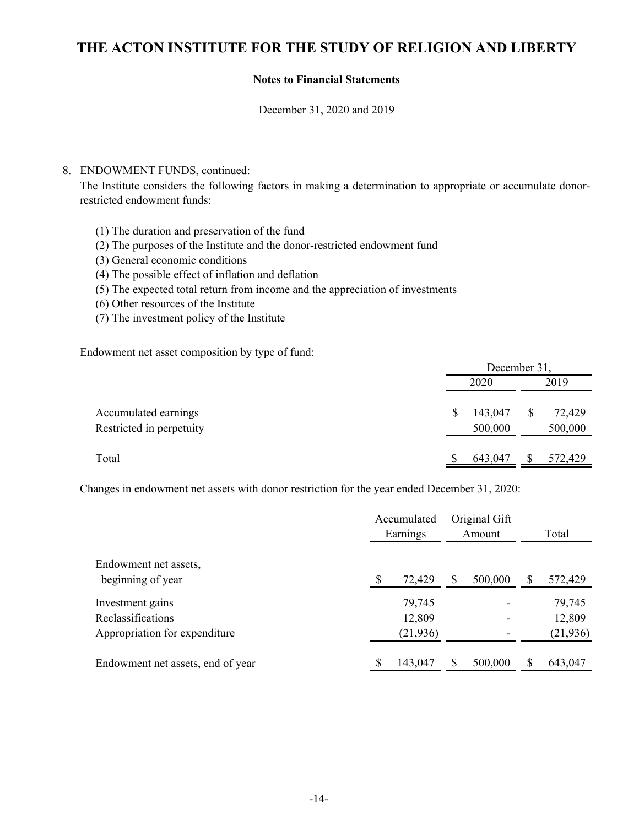#### **Notes to Financial Statements**

December 31, 2020 and 2019

#### 8. ENDOWMENT FUNDS, continued:

The Institute considers the following factors in making a determination to appropriate or accumulate donorrestricted endowment funds:

- (1) The duration and preservation of the fund
- (2) The purposes of the Institute and the donor-restricted endowment fund
- (3) General economic conditions
- (4) The possible effect of inflation and deflation
- (5) The expected total return from income and the appreciation of investments
- (6) Other resources of the Institute
- (7) The investment policy of the Institute

Endowment net asset composition by type of fund:

|                                                  | December 31, |                    |  |                   |  |
|--------------------------------------------------|--------------|--------------------|--|-------------------|--|
|                                                  | 2020         |                    |  | 2019              |  |
| Accumulated earnings<br>Restricted in perpetuity | \$           | 143,047<br>500,000 |  | 72,429<br>500,000 |  |
| Total                                            |              | 643,047            |  | 572,429           |  |

Changes in endowment net assets with donor restriction for the year ended December 31, 2020:

|                                   | Accumulated<br>Earnings |           | Original Gift<br>Amount |         | Total |           |
|-----------------------------------|-------------------------|-----------|-------------------------|---------|-------|-----------|
|                                   |                         |           |                         |         |       |           |
| Endowment net assets,             |                         |           |                         |         |       |           |
| beginning of year                 | S                       | 72,429    | \$                      | 500,000 |       | 572,429   |
| Investment gains                  |                         | 79,745    |                         |         |       | 79,745    |
| Reclassifications                 |                         | 12,809    |                         |         |       | 12,809    |
| Appropriation for expenditure     |                         | (21, 936) |                         |         |       | (21, 936) |
| Endowment net assets, end of year |                         | 143,047   | S                       | 500,000 |       | 643,047   |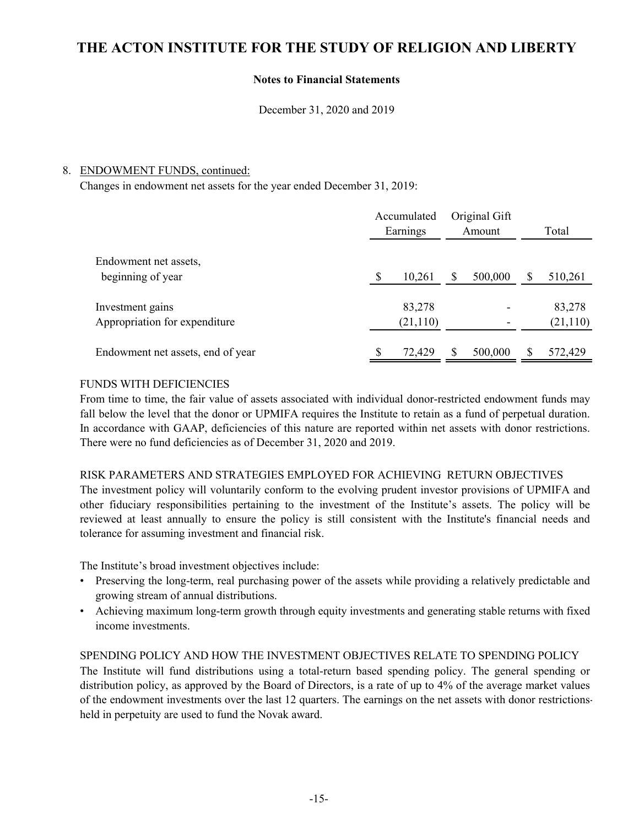#### **Notes to Financial Statements**

December 31, 2020 and 2019

#### 8. ENDOWMENT FUNDS, continued:

Changes in endowment net assets for the year ended December 31, 2019:

|                                   |          | Accumulated |        | Original Gift |       |           |
|-----------------------------------|----------|-------------|--------|---------------|-------|-----------|
|                                   | Earnings |             | Amount |               | Total |           |
|                                   |          |             |        |               |       |           |
| Endowment net assets,             |          |             |        |               |       |           |
| beginning of year                 | S        | 10,261      | S      | 500,000       |       | 510,261   |
|                                   |          |             |        |               |       |           |
| Investment gains                  |          | 83,278      |        |               |       | 83,278    |
| Appropriation for expenditure     |          | (21, 110)   |        |               |       | (21, 110) |
|                                   |          |             |        |               |       |           |
| Endowment net assets, end of year | S        | 72,429      | \$     | 500,000       |       | 572,429   |
|                                   |          |             |        |               |       |           |

### FUNDS WITH DEFICIENCIES

From time to time, the fair value of assets associated with individual donor-restricted endowment funds may fall below the level that the donor or UPMIFA requires the Institute to retain as a fund of perpetual duration. In accordance with GAAP, deficiencies of this nature are reported within net assets with donor restrictions. There were no fund deficiencies as of December 31, 2020 and 2019.

#### RISK PARAMETERS AND STRATEGIES EMPLOYED FOR ACHIEVING RETURN OBJECTIVES

The investment policy will voluntarily conform to the evolving prudent investor provisions of UPMIFA and other fiduciary responsibilities pertaining to the investment of the Institute's assets. The policy will be reviewed at least annually to ensure the policy is still consistent with the Institute's financial needs and tolerance for assuming investment and financial risk.

The Institute's broad investment objectives include:

- Preserving the long-term, real purchasing power of the assets while providing a relatively predictable and growing stream of annual distributions.
- Achieving maximum long-term growth through equity investments and generating stable returns with fixed income investments.

### SPENDING POLICY AND HOW THE INVESTMENT OBJECTIVES RELATE TO SPENDING POLICY The Institute will fund distributions using a total-return based spending policy. The general spending or distribution policy, as approved by the Board of Directors, is a rate of up to 4% of the average market values of the endowment investments over the last 12 quarters. The earnings on the net assets with donor restrictionsheld in perpetuity are used to fund the Novak award.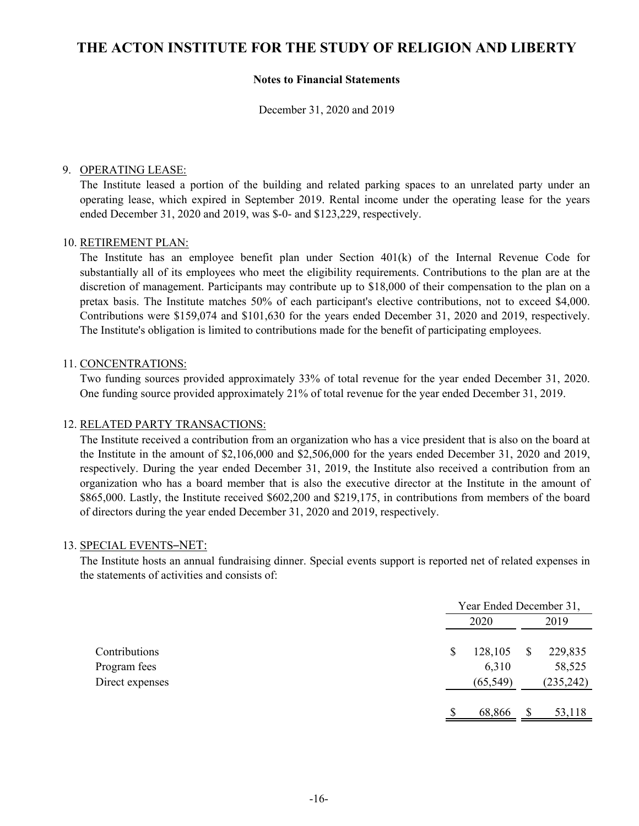#### **Notes to Financial Statements**

December 31, 2020 and 2019

#### 9. OPERATING LEASE:

The Institute leased a portion of the building and related parking spaces to an unrelated party under an operating lease, which expired in September 2019. Rental income under the operating lease for the years ended December 31, 2020 and 2019, was \$-0- and \$123,229, respectively.

#### 10. RETIREMENT PLAN:

The Institute has an employee benefit plan under Section 401(k) of the Internal Revenue Code for substantially all of its employees who meet the eligibility requirements. Contributions to the plan are at the discretion of management. Participants may contribute up to \$18,000 of their compensation to the plan on a pretax basis. The Institute matches 50% of each participant's elective contributions, not to exceed \$4,000. Contributions were \$159,074 and \$101,630 for the years ended December 31, 2020 and 2019, respectively. The Institute's obligation is limited to contributions made for the benefit of participating employees.

#### 11. CONCENTRATIONS:

Two funding sources provided approximately 33% of total revenue for the year ended December 31, 2020. One funding source provided approximately 21% of total revenue for the year ended December 31, 2019.

#### 12. RELATED PARTY TRANSACTIONS:

The Institute received a contribution from an organization who has a vice president that is also on the board at the Institute in the amount of \$2,106,000 and \$2,506,000 for the years ended December 31, 2020 and 2019, respectively. During the year ended December 31, 2019, the Institute also received a contribution from an organization who has a board member that is also the executive director at the Institute in the amount of \$865,000. Lastly, the Institute received \$602,200 and \$219,175, in contributions from members of the board of directors during the year ended December 31, 2020 and 2019, respectively.

#### 13. SPECIAL EVENTS–NET:

The Institute hosts an annual fundraising dinner. Special events support is reported net of related expenses in the statements of activities and consists of:

|                 | Year Ended December 31, |   |            |  |
|-----------------|-------------------------|---|------------|--|
|                 | 2020                    |   | 2019       |  |
| Contributions   | \$<br>128,105           | S | 229,835    |  |
| Program fees    | 6,310                   |   | 58,525     |  |
| Direct expenses | (65, 549)               |   | (235, 242) |  |
|                 | \$<br>68,866            |   | 53,118     |  |